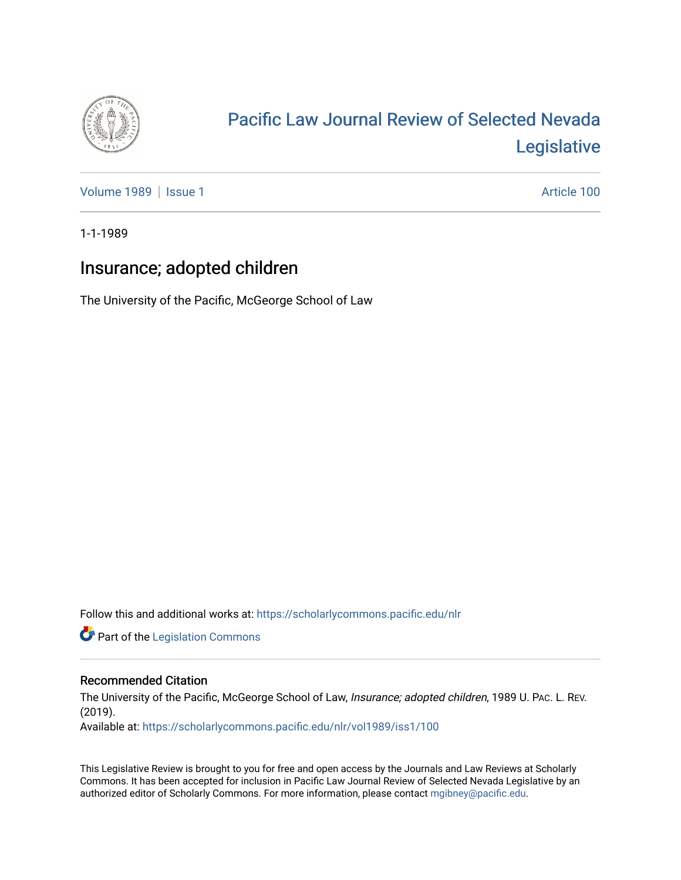

# [Pacific Law Journal Review of Selected Nevada](https://scholarlycommons.pacific.edu/nlr)  [Legislative](https://scholarlycommons.pacific.edu/nlr)

[Volume 1989](https://scholarlycommons.pacific.edu/nlr/vol1989) | [Issue 1](https://scholarlycommons.pacific.edu/nlr/vol1989/iss1) Article 100

1-1-1989

## Insurance; adopted children

The University of the Pacific, McGeorge School of Law

Follow this and additional works at: [https://scholarlycommons.pacific.edu/nlr](https://scholarlycommons.pacific.edu/nlr?utm_source=scholarlycommons.pacific.edu%2Fnlr%2Fvol1989%2Fiss1%2F100&utm_medium=PDF&utm_campaign=PDFCoverPages) 

**Part of the [Legislation Commons](http://network.bepress.com/hgg/discipline/859?utm_source=scholarlycommons.pacific.edu%2Fnlr%2Fvol1989%2Fiss1%2F100&utm_medium=PDF&utm_campaign=PDFCoverPages)** 

### Recommended Citation

The University of the Pacific, McGeorge School of Law, Insurance; adopted children, 1989 U. PAC. L. REV. (2019).

Available at: [https://scholarlycommons.pacific.edu/nlr/vol1989/iss1/100](https://scholarlycommons.pacific.edu/nlr/vol1989/iss1/100?utm_source=scholarlycommons.pacific.edu%2Fnlr%2Fvol1989%2Fiss1%2F100&utm_medium=PDF&utm_campaign=PDFCoverPages) 

This Legislative Review is brought to you for free and open access by the Journals and Law Reviews at Scholarly Commons. It has been accepted for inclusion in Pacific Law Journal Review of Selected Nevada Legislative by an authorized editor of Scholarly Commons. For more information, please contact [mgibney@pacific.edu](mailto:mgibney@pacific.edu).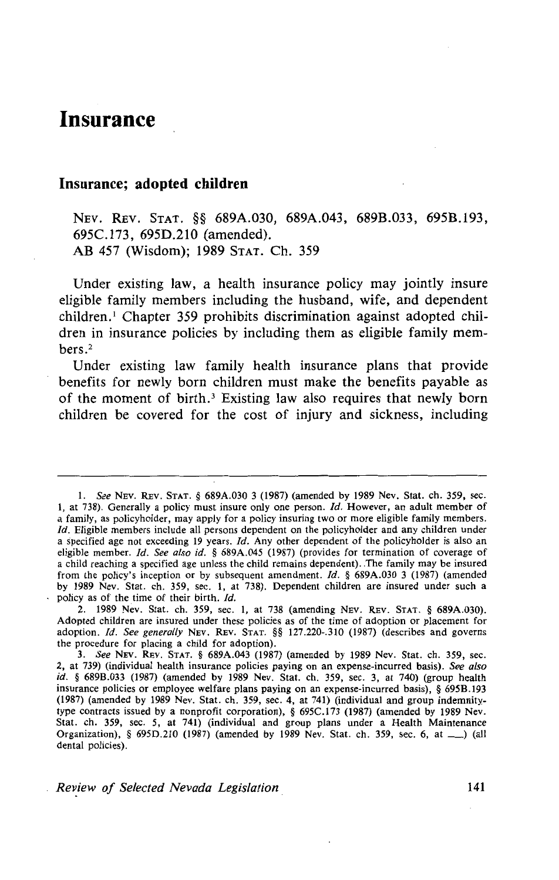### **Insurance**

#### **Insurance; adopted children**

NEv. REv. STAT. §§ 689A.030, 689A.043, 689B.033, 695B.193, 695C.l73, 695D.210 (amended). AB 457 (Wisdom); 1989 STAT. Ch. 359

Under existing law, a health insurance policy may jointly insure eligible family members including the husband, wife, and dependent children.<sup>1</sup> Chapter 359 prohibits discrimination against adopted children in insurance policies by including them as eligible family members.2

Under existing law family health insurance plans that provide benefits for newly born children must make the benefits payable as of the moment of birth.<sup>3</sup> Existing law also requires that newly born children be covered for the cost of injury and sickness, including

*Review of Selected Nevada Legislation* 141

<sup>1.</sup> *See* NEv. REv. STAT. § 689A.030 3 (1987) (amended by 1989 Nev. Stat. ch. 359, sec. 1, at 738). Generally a policy must insure only one person.  $Id$ . However, an adult member of a family, as policyholder, may apply for a policy insuring two or more eligible family members. *!d.* Eligible members include all persons dependent on the policyholder and any children under a specified age not exceeding 19 years. Id. Any other dependent of the policyholder is also an eligible member. */d. See also id.* § 689A.045 (1987) (provides for termination of coverage of a child reaching a specified age unless the child remains dependent) . .The family may be insured from the policy's inception or by subsequent amendment. *ld.* § 689A.030 3 (1987) (amended by 1989 Nev. Stat. ch. 359, sec. I, at 738). Dependent children are insured under such a policy as of the time of their birth. *Id.* 

<sup>2. 1989</sup> Nev. Stat. ch. 359, sec. I, at 738 (amending NEV. REv. STAT. § 689A.030). Adopted children are insured under these policies as of the time of adoption or placement for adoption. *!d. See generally* NEv. REv. STAT. §§ 127.220-.310 (1987) (describes and governs the procedure for placing a child for adoption).

<sup>3.</sup> *See* NEv. REv. STAT. § 689A.043 (1987) (amended by 1989 Nev. Stat. ch. 359, sec. 2, at 739) (individual health insurance policies paying on an expense-incurred basis). *See also id.* § 689B.033 (1987) (amended by 1989 Nev. Stat. ch. 359, sec. 3, at 740) (group health insurance policies or employee welfare plans paying on an expense-incurred basis), § 695B.I93 (1987) (amended by 1989 Nev. Stat. ch. 359, sec. 4, at 741) (individual and group indemnitytype contracts issued by a nonprofit corporation), § 695C.I73 (1987) (amended by 1989 Nev. Stat. ch. 359, sec. 5, at 741) (individual and group plans under a Health Maintenance Organization), § 695D.210 (1987) (amended by 1989 Nev. Stat. ch. 359, sec. 6, at  $\qquad$ ) (all dental policies).